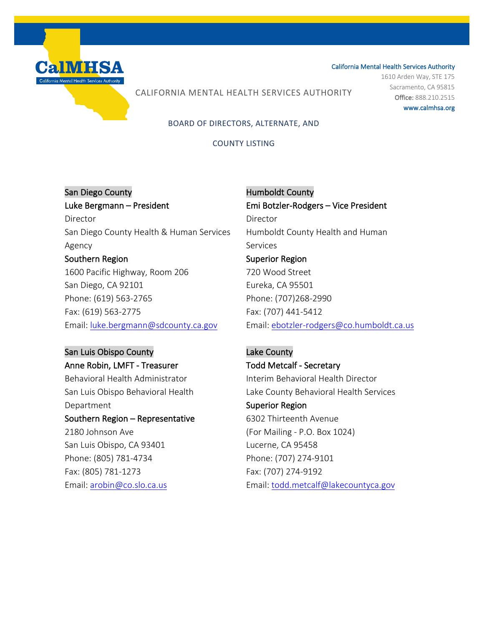

1610 Arden Way, STE 175 Sacramento, CA 95815 Office: 888.210.2515 www.calmhsa.org

## CALIFORNIA MENTAL HEALTH SERVICES AUTHORITY

### BOARD OF DIRECTORS, ALTERNATE, AND

### COUNTY LISTING

# San Diego County Luke Bergmann – President Director San Diego County Health & Human Services Agency Southern Region 1600 Pacific Highway, Room 206 San Diego, CA 92101 Phone: (619) 563-2765 Fax: (619) 563-2775 Email: [luke.bergmann@sdcounty.ca.gov](mailto:luke.bergmann@sdcounty.ca.gov)

## San Luis Obispo County Anne Robin, LMFT - Treasurer

Behavioral Health Administrator San Luis Obispo Behavioral Health Department Southern Region – Representative 2180 Johnson Ave San Luis Obispo, CA 93401 Phone: (805) 781-4734 Fax: (805) 781-1273 Email: [arobin@co.slo.ca.us](mailto:arobin@co.slo.ca.us) 

 Humboldt County Emi Botzler-Rodgers – Vice President Director Humboldt County Health and Human Services Superior Region 720 Wood Street Eureka, CA 95501 Phone: (707)268-2990 Fax: (707) 441-5412 Email: [ebotzler-rodgers@co.humboldt.ca.us](mailto:ebotzler-rodgers@co.humboldt.ca.us)

# Lake County Todd Metcalf - Secretary Interim Behavioral Health Director Lake County Behavioral Health Services Superior Region 6302 Thirteenth Avenue (For Mailing - P.O. Box 1024) Lucerne, CA 95458 Phone: (707) 274-9101 Fax: (707) 274-9192 Email: [todd.metcalf@lakecountyca.gov](mailto:todd.metcalf@lakecountyca.gov)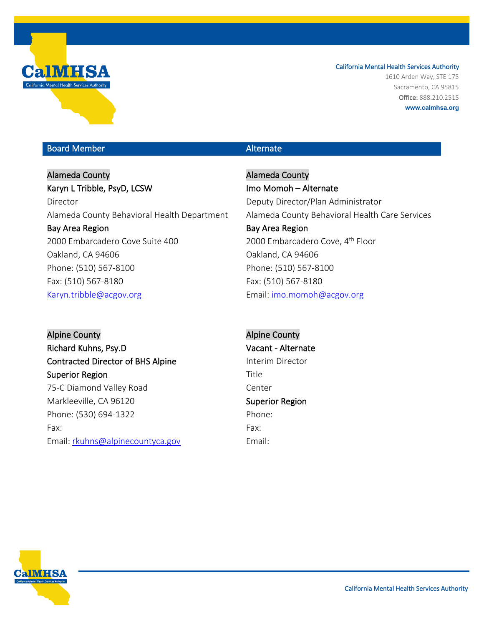

1610 Arden Way, STE 175 Sacramento, CA 95815 Office: 888.210.2515 **www.calmhsa.org**

### Board Member Alternate Communication and Alternate

Alameda County Karyn L Tribble, PsyD, LCSW Director Alameda County Behavioral Health Department Bay Area Region 2000 Embarcadero Cove Suite 400 Oakland, CA 94606 Phone: (510) 567-8100 Fax: (510) 567-8180 [Karyn.tribble@acgov.org](mailto:Karyn.tribble@acgov.org)

Alpine County Richard Kuhns, Psy.D Contracted Director of BHS Alpine Superior Region 75-C Diamond Valley Road Markleeville, CA 96120 Phone: (530) 694-1322 Fax: Email: [rkuhns@alpinecountyca.gov](mailto:rkuhns@alpinecountyca.gov)

Alameda County Imo Momoh – Alternate Deputy Director/Plan Administrator Alameda County Behavioral Health Care Services Bay Area Region 2000 Embarcadero Cove, 4<sup>th</sup> Floor Oakland, CA 94606 Phone: (510) 567-8100 Fax: (510) 567-8180 Email: [imo.momoh@acgov.org](mailto:james.wagner@acbhcs.org)

Alpine County Vacant - Alternate Interim Director Title Center Superior Region Phone: Fax: Email:

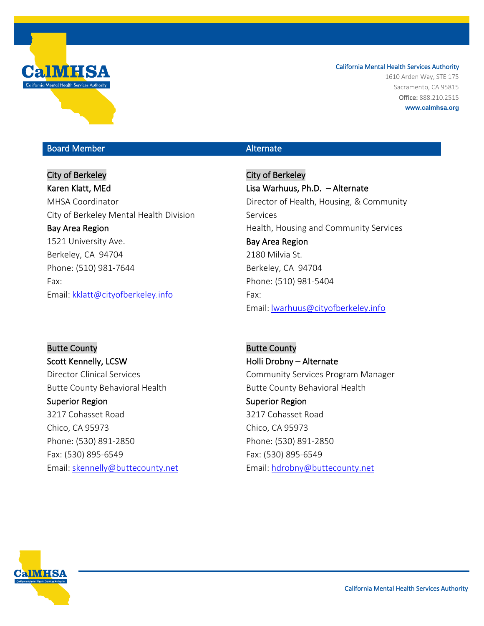

1610 Arden Way, STE 175 Sacramento, CA 95815 Office: 888.210.2515 **www.calmhsa.org**

## Board Member Alternate Communication and Alternate

City of Berkeley Karen Klatt, MEd MHSA Coordinator City of Berkeley Mental Health Division Bay Area Region 1521 University Ave. Berkeley, CA 94704 Phone: (510) 981-7644 Fax: Email: [kklatt@cityofberkeley.info](mailto:kklatt@cityofberkeley.info)

City of Berkeley Lisa Warhuus, Ph.D. – Alternate Director of Health, Housing, & Community Services Health, Housing and Community Services Bay Area Region 2180 Milvia St. Berkeley, CA 94704 Phone: (510) 981-5404 Fax: Email: [lwarhuus@cityofberkeley.info](mailto:lwarhuus@cityofberkeley.info)

Butte County Scott Kennelly, LCSW Director Clinical Services Butte County Behavioral Health Superior Region 3217 Cohasset Road Chico, CA 95973 Phone: (530) 891-2850 Fax: (530) 895-6549 Email: [skennelly@buttecounty.net](mailto:skennelly@buttecounty.net)

Butte County Holli Drobny – Alternate Community Services Program Manager Butte County Behavioral Health Superior Region 3217 Cohasset Road Chico, CA 95973 Phone: (530) 891-2850 Fax: (530) 895-6549 Email: [hdrobny@buttecounty.net](mailto:hdrobny@buttecounty.net)

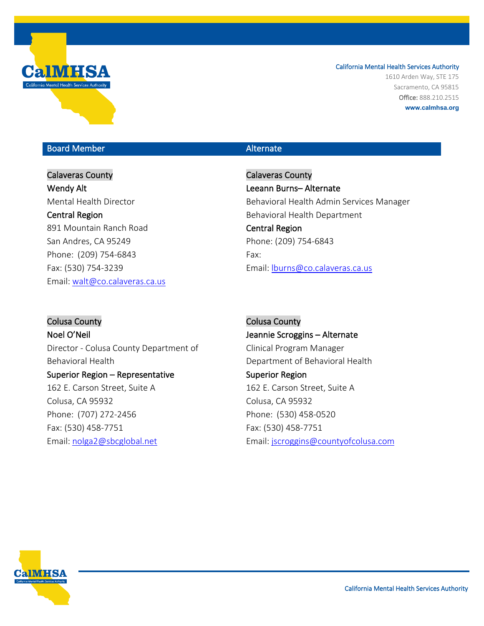

1610 Arden Way, STE 175 Sacramento, CA 95815 Office: 888.210.2515 **www.calmhsa.org**

## Board Member Alternate Communication and Alternate

# Calaveras County Wendy Alt Mental Health Director Central Region 891 Mountain Ranch Road San Andres, CA 95249 Phone: (209) 754-6843 Fax: (530) 754-3239 Email: [walt@co.calaveras.ca.us](mailto:walt@co.calaveras.ca.us)

Calaveras County Leeann Burns– Alternate Behavioral Health Admin Services Manager Behavioral Health Department Central Region Phone: (209) 754-6843 Fax: Email: [lburns@co.calaveras.ca.us](mailto:lburns@co.calaveras.ca.us)

Colusa County Noel O'Neil Director - Colusa County Department of Behavioral Health Superior Region – Representative 162 E. Carson Street, Suite A Colusa, CA 95932 Phone: (707) 272-2456 Fax: (530) 458-7751 Email: [nolga2@sbcglobal.net](mailto:nolga2@sbcglobal.net)

Colusa County Jeannie Scroggins – Alternate Clinical Program Manager Department of Behavioral Health Superior Region 162 E. Carson Street, Suite A Colusa, CA 95932 Phone: (530) 458-0520 Fax: (530) 458-7751 Email: [jscroggins@countyofcolusa.com](mailto:jscroggins@countyofcolusa.com)

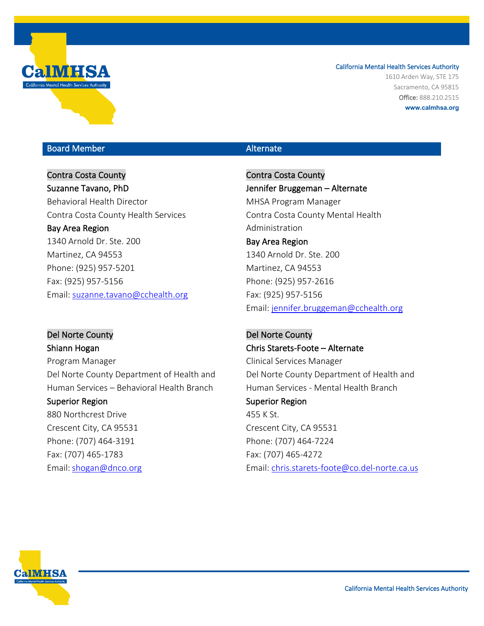

1610 Arden Way, STE 175 Sacramento, CA 95815 Office: 888.210.2515 **www.calmhsa.org**

## Board Member Alternate Communication and Alternate

## Contra Costa County Suzanne Tavano, PhD

Behavioral Health Director Contra Costa County Health Services Bay Area Region 1340 Arnold Dr. Ste. 200 Martinez, CA 94553 Phone: (925) 957-5201 Fax: (925) 957-5156 Email: [suzanne.tavano@cchealth.org](mailto:suzanne.tavano@cchealth.org) 

Del Norte County Shiann Hogan Program Manager Del Norte County Department of Health and Human Services – Behavioral Health Branch Superior Region 880 Northcrest Drive

Crescent City, CA 95531 Phone: (707) 464-3191 Fax: (707) 465-1783 Email:[shogan@dnco.org](mailto:shogan@dnco.org)

Contra Costa County Jennifer Bruggeman – Alternate MHSA Program Manager Contra Costa County Mental Health Administration

Bay Area Region 1340 Arnold Dr. Ste. 200 Martinez, CA 94553 Phone: (925) 957-2616 Fax: (925) 957-5156 Email: [jennifer.bruggeman@cchealth.org](mailto:jennifer.bruggeman@cchealth.org)

Del Norte County Chris Starets-Foote – Alternate Clinical Services Manager Del Norte County Department of Health and Human Services - Mental Health Branch Superior Region 455 K St. Crescent City, CA 95531 Phone: (707) 464-7224 Fax: (707) 465-4272 Email: [chris.starets-foote@co.del-norte.ca.us](mailto:chris.starets-foote@co.del-norte.ca.us)

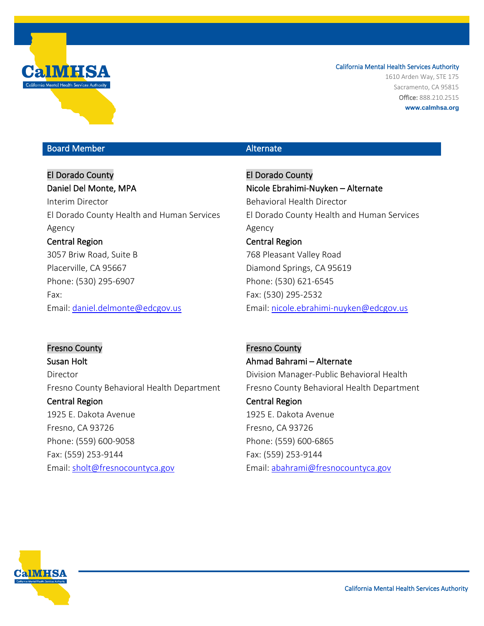

1610 Arden Way, STE 175 Sacramento, CA 95815 Office: 888.210.2515 **www.calmhsa.org**

## Board Member Alternate Communication and Alternate

El Dorado County Daniel Del Monte, MPA Interim Director El Dorado County Health and Human Services Agency Central Region 3057 Briw Road, Suite B Placerville, CA 95667 Phone: (530) 295-6907 Fax: Email: [daniel.delmonte@edcgov.us](mailto:daniel.delmonte@edcgov.us)

El Dorado County Nicole Ebrahimi-Nuyken – Alternate Behavioral Health Director El Dorado County Health and Human Services Agency Central Region 768 Pleasant Valley Road Diamond Springs, CA 95619 Phone: (530) 621-6545 Fax: (530) 295-2532 Email: [nicole.ebrahimi-nuyken@edcgov.us](mailto:nicole.ebrahimi-nuyken@edcgov.us)

Fresno County Susan Holt Director Fresno County Behavioral Health Department Central Region 1925 E. Dakota Avenue Fresno, CA 93726 Phone: (559) 600-9058 Fax: (559) 253-9144 Email: sholt@fresnocountyca.gov

Fresno County Ahmad Bahrami – Alternate Division Manager-Public Behavioral Health Fresno County Behavioral Health Department Central Region 1925 E. Dakota Avenue Fresno, CA 93726 Phone: (559) 600-6865 Fax: (559) 253-9144 Email: [abahrami@fresnocountyca.gov](mailto:abahrami@fresnocountyca.gov)

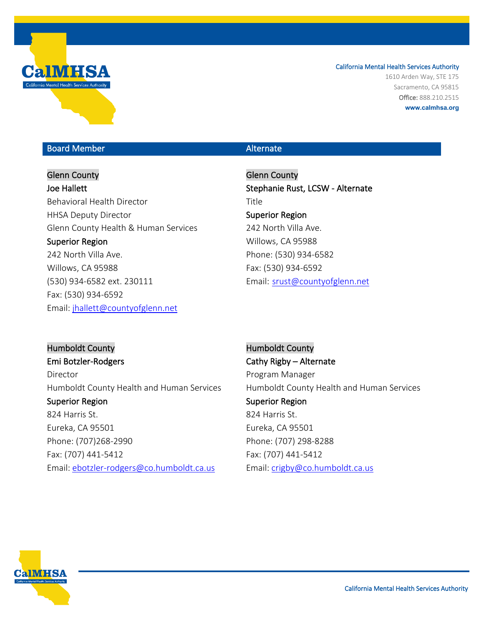

1610 Arden Way, STE 175 Sacramento, CA 95815 Office: 888.210.2515 **www.calmhsa.org**

## Board Member Alternate Communication and Alternate

# Glenn County

Joe Hallett Behavioral Health Director HHSA Deputy Director Glenn County Health & Human Services Superior Region

242 North Villa Ave. Willows, CA 95988 (530) 934-6582 ext. 230111 Fax: (530) 934-6592 Email: jhallett@countyofglenn.net

Glenn County Stephanie Rust, LCSW - Alternate Title Superior Region 242 North Villa Ave. Willows, CA 95988 Phone: (530) 934-6582 Fax: (530) 934-6592 Email: srust@countyofglenn.net

Humboldt County Emi Botzler-Rodgers Director Humboldt County Health and Human Services Superior Region 824 Harris St. Eureka, CA 95501 Phone: (707)268-2990 Fax: (707) 441-5412 Email: [ebotzler-rodgers@co.humboldt.ca.us](mailto:ebotzler-rodgers@co.humboldt.ca.us)

Humboldt County Cathy Rigby – Alternate Program Manager Humboldt County Health and Human Services Superior Region 824 Harris St. Eureka, CA 95501 Phone: (707) 298-8288 Fax: (707) 441-5412 Email: [crigby@co.humboldt.ca.us](mailto:crigby@co.humboldt.ca.us)

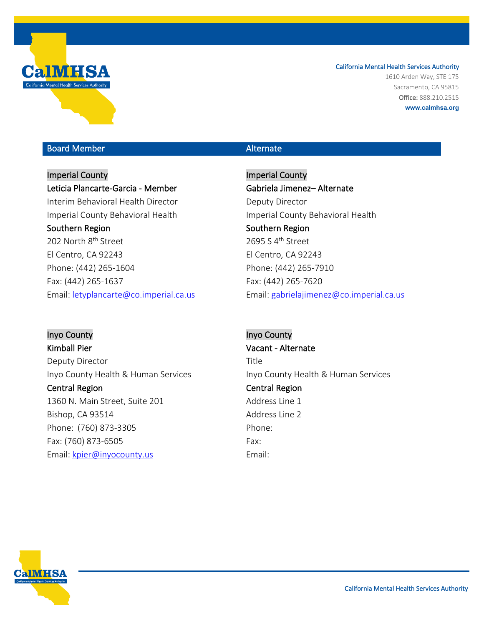

1610 Arden Way, STE 175 Sacramento, CA 95815 Office: 888.210.2515 **www.calmhsa.org**

## Board Member Alternate Communication and Alternate

Imperial County Leticia Plancarte-Garcia - Member Interim Behavioral Health Director Imperial County Behavioral Health Southern Region 202 North 8<sup>th</sup> Street El Centro, CA 92243 Phone: (442) 265-1604 Fax: (442) 265-1637 Email: [letyplancarte@co.imperial.ca.us](mailto:letyplancarte@co.imperial.ca.us)

Inyo County Kimball Pier Deputy Director Inyo County Health & Human Services Central Region 1360 N. Main Street, Suite 201 Bishop, CA 93514 Phone: (760) 873-3305 Fax: (760) 873-6505 Email: kpier@inyocounty.us

Imperial County Gabriela Jimenez– Alternate Deputy Director Imperial County Behavioral Health Southern Region 2695 S  $4^{\text{th}}$  Street El Centro, CA 92243 Phone: (442) 265-7910 Fax: (442) 265-7620 Email: [gabrielajimenez@co.imperial.ca.us](mailto:gabrielajimenez@co.imperial.ca.us)

Inyo County Vacant - Alternate Title Inyo County Health & Human Services Central Region Address Line 1 Address Line 2 Phone: Fax: Email:

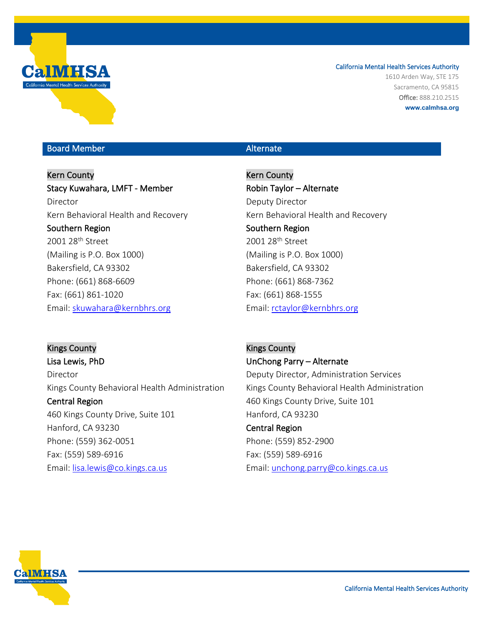

1610 Arden Way, STE 175 Sacramento, CA 95815 Office: 888.210.2515 **www.calmhsa.org**

## Board Member Alternate Communication and Alternate

Kern County Stacy Kuwahara, LMFT - Member Director Kern Behavioral Health and Recovery Southern Region 2001 28<sup>th</sup> Street (Mailing is P.O. Box 1000) Bakersfield, CA 93302 Phone: (661) 868-6609 Fax: (661) 861-1020 Email: [skuwahara@kernbhrs.org](mailto:skuwahara@kernbhrs.org)

Kern County Robin Taylor – Alternate Deputy Director Kern Behavioral Health and Recovery Southern Region 2001 28<sup>th</sup> Street (Mailing is P.O. Box 1000) Bakersfield, CA 93302 Phone: (661) 868-7362 Fax: (661) 868-1555 Email: [rctaylor@kernbhrs.org](mailto:rctaylor@kernbhrs.org)

Kings County Lisa Lewis, PhD Director Kings County Behavioral Health Administration Central Region 460 Kings County Drive, Suite 101 Hanford, CA 93230 Phone: (559) 362-0051 Fax: (559) 589-6916 Email: [lisa.lewis@co.kings.ca.us](mailto:lisa.lewis@co.kings.ca.us) 

Kings County UnChong Parry – Alternate Deputy Director, Administration Services Kings County Behavioral Health Administration 460 Kings County Drive, Suite 101 Hanford, CA 93230 Central Region Phone: (559) 852-2900

Fax: (559) 589-6916 Email: [unchong.parry@co.kings.ca.us](mailto:unchong.parry@co.kings.ca.us) 

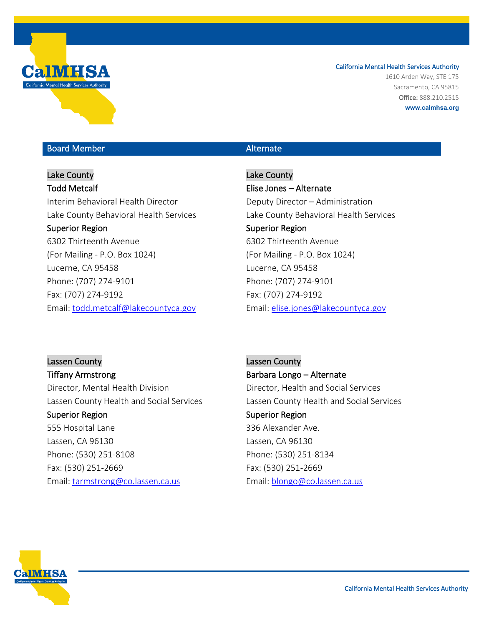

1610 Arden Way, STE 175 Sacramento, CA 95815 Office: 888.210.2515 **www.calmhsa.org**

## Board Member Alternate Communication and Alternate

Lake County Todd Metcalf Interim Behavioral Health Director Lake County Behavioral Health Services Superior Region 6302 Thirteenth Avenue (For Mailing - P.O. Box 1024) Lucerne, CA 95458 Phone: (707) 274-9101 Fax: (707) 274-9192 Email: [todd.metcalf@lakecountyca.gov](mailto:todd.metcalf@lakecountyca.gov)

Lake County Elise Jones – Alternate Deputy Director – Administration Lake County Behavioral Health Services Superior Region 6302 Thirteenth Avenue (For Mailing - P.O. Box 1024) Lucerne, CA 95458 Phone: (707) 274-9101 Fax: (707) 274-9192 Email: [elise.jones@lakecountyca.gov](mailto:elise.jones@lakecountyca.gov)

Lassen County Tiffany Armstrong Director, Mental Health Division Lassen County Health and Social Services Superior Region

555 Hospital Lane Lassen, CA 96130 Phone: (530) 251-8108 Fax: (530) 251-2669 Email: [tarmstrong@co.lassen.ca.us](mailto:tarmstrong@co.lassen.ca.us)

Lassen County Barbara Longo – Alternate Director, Health and Social Services Lassen County Health and Social Services Superior Region 336 Alexander Ave. Lassen, CA 96130 Phone: (530) 251-8134 Fax: (530) 251-2669 Email: [blongo@co.lassen.ca.us](mailto:blongo@co.lassen.ca.us) 

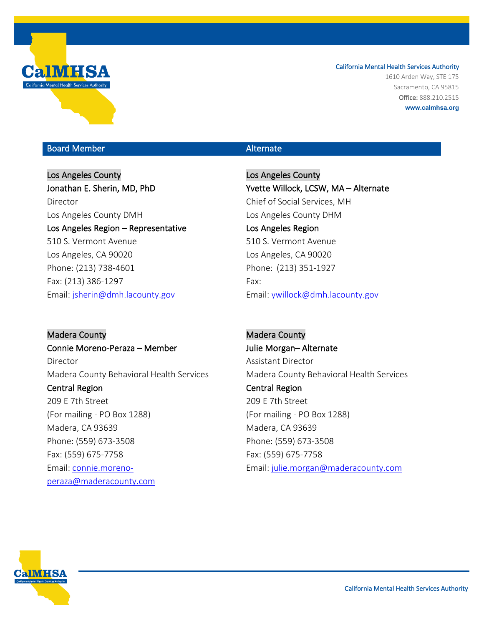

1610 Arden Way, STE 175 Sacramento, CA 95815 Office: 888.210.2515 **www.calmhsa.org**

## Board Member Alternate Communication and Alternate

Los Angeles County Jonathan E. Sherin, MD, PhD Director Los Angeles County DMH Los Angeles Region – Representative 510 S. Vermont Avenue Los Angeles, CA 90020 Phone: (213) 738-4601 Fax: (213) 386-1297 Email: [jsherin@dmh.lacounty.gov](mailto:jsherin@dmh.lacounty.gov)

Madera County Connie Moreno-Peraza – Member Director Madera County Behavioral Health Services Central Region 209 E 7th Street (For mailing - PO Box 1288) Madera, CA 93639 Phone: (559) 673-3508 Fax: (559) 675-7758 Email: [connie.moreno](mailto:connie.moreno-peraza@maderacounty.com)[peraza@maderacounty.com](mailto:connie.moreno-peraza@maderacounty.com) 

Los Angeles County Yvette Willock, LCSW, MA – Alternate Chief of Social Services, MH Los Angeles County DHM Los Angeles Region 510 S. Vermont Avenue Los Angeles, CA 90020 Phone: (213) 351-1927 Fax: Email: [ywillock@dmh.lacounty.gov](mailto:ywillock@dmh.lacounty.gov) 

Madera County Julie Morgan– Alternate Assistant Director Madera County Behavioral Health Services Central Region 209 E 7th Street (For mailing - PO Box 1288) Madera, CA 93639 Phone: (559) 673-3508 Fax: (559) 675-7758 Email: [julie.morgan@maderacounty.com](mailto:julie.morgan@maderacounty.com)

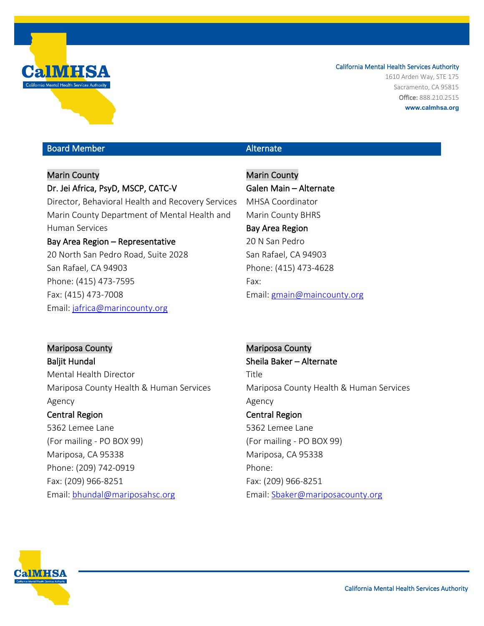

1610 Arden Way, STE 175 Sacramento, CA 95815 Office: 888.210.2515 **www.calmhsa.org**

## Board Member Alternate Communication and Alternate

# Marin County Dr. Jei Africa, PsyD, MSCP, CATC-V Director, Behavioral Health and Recovery Services Marin County Department of Mental Health and Human Services Bay Area Region – Representative 20 North San Pedro Road, Suite 2028

San Rafael, CA 94903 Phone: (415) 473-7595 Fax: (415) 473-7008 Email: [jafrica@marincounty.org](mailto:jafrica@marincounty.org)

Marin County Galen Main – Alternate MHSA Coordinator Marin County BHRS Bay Area Region 20 N San Pedro San Rafael, CA 94903 Phone: (415) 473-4628 Fax: Email: [gmain@maincounty.org](mailto:gmain@maincounty.org)

Mariposa County Baljit Hundal Mental Health Director Mariposa County Health & Human Services Agency

## Central Region

5362 Lemee Lane (For mailing - PO BOX 99) Mariposa, CA 95338 Phone: (209) 742-0919 Fax: (209) 966-8251 Email: [bhundal@mariposahsc.org](mailto:bhundal@mariposahsc.org)

Mariposa County Sheila Baker – Alternate Title Mariposa County Health & Human Services Agency Central Region 5362 Lemee Lane (For mailing - PO BOX 99) Mariposa, CA 95338 Phone: Fax: (209) 966-8251 Email: Sbaker@mariposacounty.org

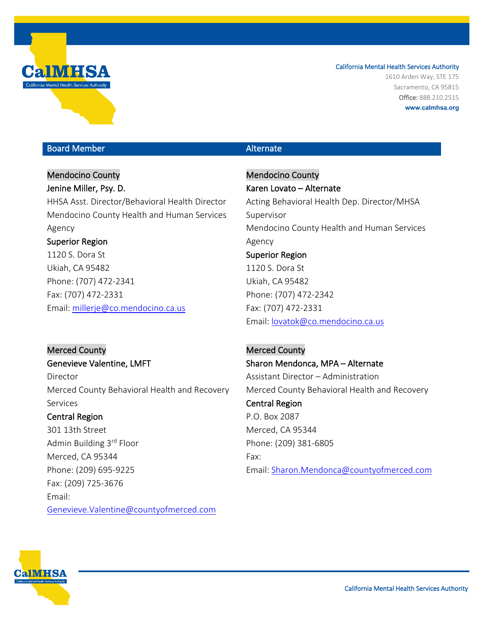

1610 Arden Way, STE 175 Sacramento, CA 95815 Office: 888.210.2515 **www.calmhsa.org**

## Board Member Alternate Communication and Alternate

Mendocino County Jenine Miller, Psy. D. HHSA Asst. Director/Behavioral Health Director Mendocino County Health and Human Services Agency Superior Region 1120 S. Dora St Ukiah, CA 95482 Phone: (707) 472-2341 Fax: (707) 472-2331 Email: [millerje@co.mendocino.ca.us](mailto:millerje@co.mendocino.ca.us)

### Merced County

Phone: (209) 695-9225 Fax: (209) 725-3676

Genevieve Valentine, LMFT Director Merced County Behavioral Health and Recovery Services Central Region 301 13th Street Admin Building 3rd Floor Merced, CA 95344

[Genevieve.Valentine@countyofmerced.com](mailto:Genevieve.Valentine@countyofmerced.com)

Mendocino County Karen Lovato – Alternate Acting Behavioral Health Dep. Director/MHSA Supervisor Mendocino County Health and Human Services Agency Superior Region 1120 S. Dora St Ukiah, CA 95482 Phone: (707) 472-2342 Fax: (707) 472-2331 Email: [lovatok@co.mendocino.ca.us](mailto:lovatok@co.mendocino.ca.us) 

Merced County Sharon Mendonca, MPA – Alternate Assistant Director – Administration Merced County Behavioral Health and Recovery Central Region P.O. Box 2087 Merced, CA 95344 Phone: (209) 381-6805 Fax: Email: [Sharon.Mendonca@countyofmerced.com](mailto:Sharon.Mendonca@countyofmerced.com)



Email: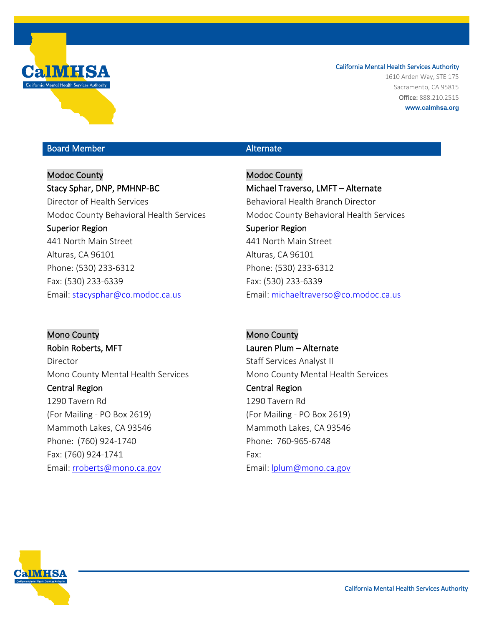

1610 Arden Way, STE 175 Sacramento, CA 95815 Office: 888.210.2515 **www.calmhsa.org**

## Board Member Alternate Communication and Alternate

Modoc County Stacy Sphar, DNP, PMHNP-BC Director of Health Services Modoc County Behavioral Health Services Superior Region 441 North Main Street Alturas, CA 96101 Phone: (530) 233-6312 Fax: (530) 233-6339 Email: [stacysphar@co.modoc.ca.us](mailto:stacysphar@co.modoc.ca.us)

Mono County Robin Roberts, MFT Director Mono County Mental Health Services Central Region 1290 Tavern Rd (For Mailing - PO Box 2619) Mammoth Lakes, CA 93546 Phone: (760) 924-1740 Fax: (760) 924-1741 Email: [rroberts@mono.ca.gov](mailto:rroberts@mono.ca.gov)

Modoc County Michael Traverso, LMFT – Alternate Behavioral Health Branch Director Modoc County Behavioral Health Services Superior Region 441 North Main Street Alturas, CA 96101 Phone: (530) 233-6312 Fax: (530) 233-6339 Email: [michaeltraverso@co.modoc.ca.us](mailto:michaeltraverso@co.modoc.ca.us) 

Mono County Lauren Plum – Alternate Staff Services Analyst II Mono County Mental Health Services Central Region 1290 Tavern Rd (For Mailing - PO Box 2619) Mammoth Lakes, CA 93546 Phone: 760-965-6748 Fax: Email: lplum@mono.ca.gov

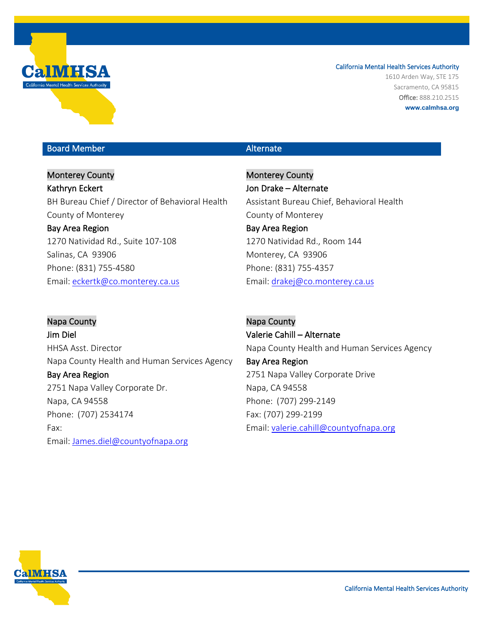

1610 Arden Way, STE 175 Sacramento, CA 95815 Office: 888.210.2515 **www.calmhsa.org**

## Board Member Alternate Communication and Alternate

Monterey County Kathryn Eckert BH Bureau Chief / Director of Behavioral Health County of Monterey Bay Area Region 1270 Natividad Rd., Suite 107-108 Salinas, CA 93906 Phone: (831) 755-4580 Email: [eckertk@co.monterey.ca.us](mailto:eckertk@co.monterey.ca.us)

Monterey County Jon Drake – Alternate Assistant Bureau Chief, Behavioral Health County of Monterey Bay Area Region 1270 Natividad Rd., Room 144 Monterey, CA 93906 Phone: (831) 755-4357 Email: [drakej@co.monterey.ca.us](mailto:drakej@co.monterey.ca.us) 

Napa County Jim Diel HHSA Asst. Director Napa County Health and Human Services Agency Bay Area Region 2751 Napa Valley Corporate Dr. Napa, CA 94558 Phone: (707) 2534174 Fax: Email: James.diel@countyofnapa.org

Napa County Valerie Cahill – Alternate Napa County Health and Human Services Agency Bay Area Region 2751 Napa Valley Corporate Drive Napa, CA 94558 Phone: (707) 299-2149 Fax: (707) 299-2199 Email: [valerie.cahill@countyofnapa.org](mailto:valerie.cahill@countyofnapa.org) 

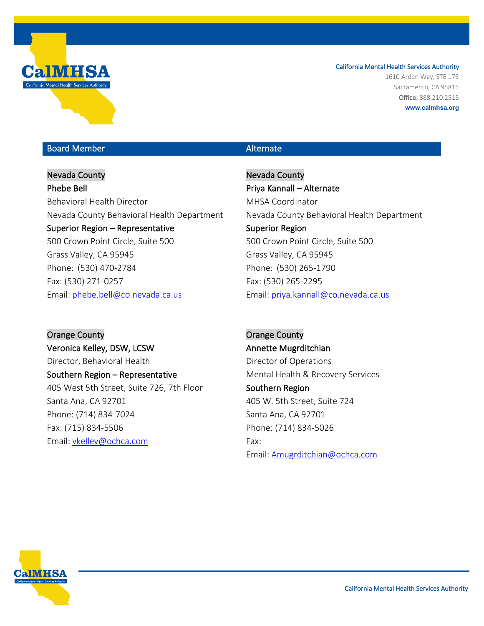

1610 Arden Way, STE 175 Sacramento, CA 95815 Office: 888.210.2515 **www.calmhsa.org**

## Board Member Alternate Communication and Alternate

Nevada County Phebe Bell Behavioral Health Director Nevada County Behavioral Health Department Superior Region – Representative 500 Crown Point Circle, Suite 500 Grass Valley, CA 95945 Phone: (530) 470-2784 Fax: (530) 271-0257 Email: [phebe.bell@co.nevada.ca.us](mailto:phebe.bell@co.nevada.ca.us)

Orange County Veronica Kelley, DSW, LCSW Director, Behavioral Health Southern Region – Representative 405 West 5th Street, Suite 726, 7th Floor Santa Ana, CA 92701 Phone: (714) 834-7024 Fax: (715) 834-5506 Email: vkelley@ochca.com

Nevada County Priya Kannall – Alternate MHSA Coordinator Nevada County Behavioral Health Department Superior Region 500 Crown Point Circle, Suite 500 Grass Valley, CA 95945 Phone: (530) 265-1790 Fax: (530) 265-2295 Email: [priya.kannall@co.nevada.ca.us](mailto:priya.kannall@co.nevada.ca.us)

Orange County Annette Mugrditchian Director of Operations Mental Health & Recovery Services Southern Region 405 W. 5th Street, Suite 724 Santa Ana, CA 92701 Phone: (714) 834-5026 Fax: Email: Amugrditchian@ochca.com

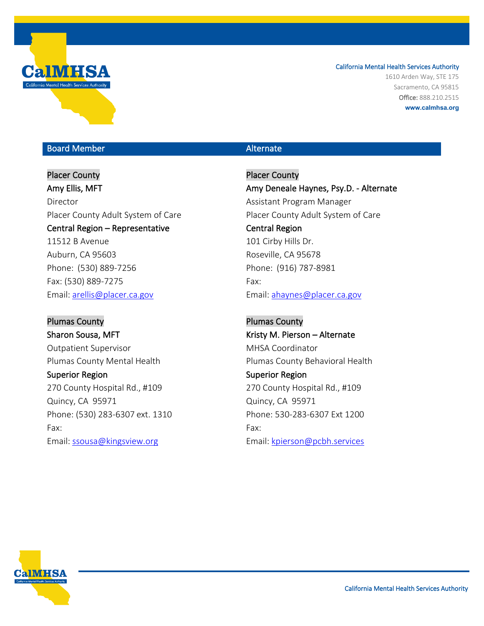

1610 Arden Way, STE 175 Sacramento, CA 95815 Office: 888.210.2515 **www.calmhsa.org**

## Board Member Alternate Communication and Alternate

Placer County Amy Ellis, MFT Director Placer County Adult System of Care Central Region – Representative 11512 B Avenue Auburn, CA 95603 Phone: (530) 889-7256 Fax: (530) 889-7275 Email: [arellis@placer.ca.gov](mailto:arellis@placer.ca.gov)

Plumas County Sharon Sousa, MFT Outpatient Supervisor Plumas County Mental Health Superior Region 270 County Hospital Rd., #109 Quincy, CA 95971 Phone: (530) 283-6307 ext. 1310 Fax: Email: [ssousa@kingsview.org](mailto:ssousa@kingsview.org)

Placer County Amy Deneale Haynes, Psy.D. - Alternate Assistant Program Manager Placer County Adult System of Care Central Region 101 Cirby Hills Dr. Roseville, CA 95678 Phone: (916) 787-8981 Fax: Email: ahaynes@placer.ca.gov

Plumas County Kristy M. Pierson – Alternate MHSA Coordinator Plumas County Behavioral Health Superior Region 270 County Hospital Rd., #109 Quincy, CA 95971 Phone: 530-283-6307 Ext 1200 Fax: Email: [kpierson@pcbh.services](mailto:kpierson@pcbh.services)

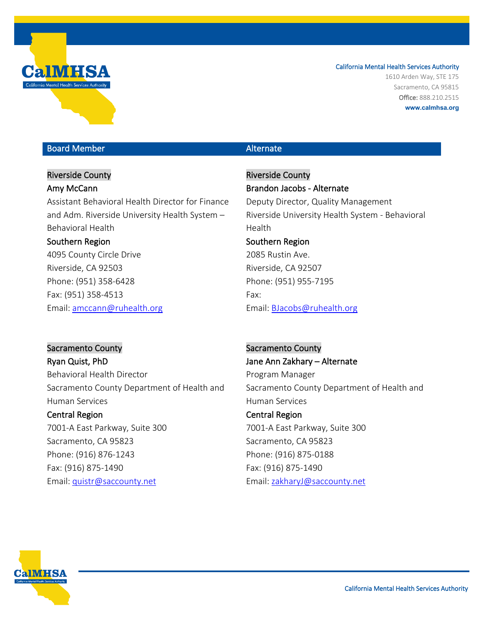

1610 Arden Way, STE 175 Sacramento, CA 95815 Office: 888.210.2515 **www.calmhsa.org**

## Board Member Alternate Communication and Alternate

## Riverside County

### Amy McCann

Assistant Behavioral Health Director for Finance and Adm. Riverside University Health System – Behavioral Health

## Southern Region

4095 County Circle Drive Riverside, CA 92503 Phone: (951) 358-6428 Fax: (951) 358-4513 Email: [amccann@ruhealth.org](mailto:amccann@ruhealth.org)

Riverside County Brandon Jacobs - Alternate Deputy Director, Quality Management Riverside University Health System - Behavioral Health Southern Region 2085 Rustin Ave. Riverside, CA 92507 Phone: (951) 955-7195 Fax: Email: [BJacobs@ruhealth.org](mailto:BJacobs@ruhealth.org)

# Sacramento County

Ryan Quist, PhD Behavioral Health Director Sacramento County Department of Health and Human Services

### Central Region

7001-A East Parkway, Suite 300 Sacramento, CA 95823 Phone: (916) 876-1243 Fax: (916) 875-1490 Email: [quistr@saccounty.net](mailto:quistr@saccounty.net) 

### Sacramento County

Jane Ann Zakhary – Alternate Program Manager Sacramento County Department of Health and Human Services

# Central Region

7001-A East Parkway, Suite 300 Sacramento, CA 95823 Phone: (916) 875-0188 Fax: (916) 875-1490 Email: [zakharyJ@saccounty.net](mailto:zakharyJ@saccounty.net)

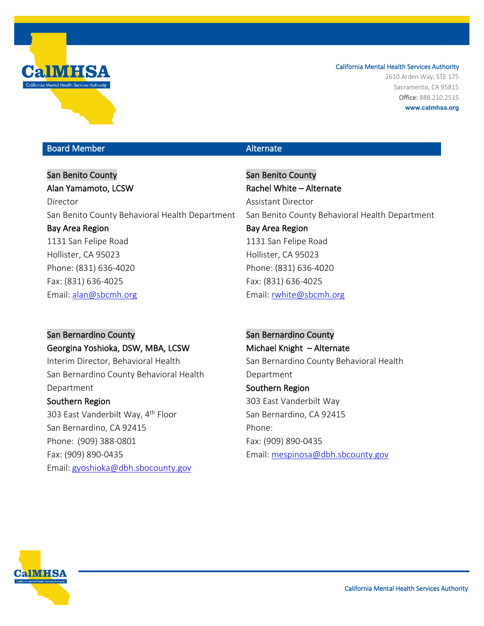

1610 Arden Way, STE 175 Sacramento, CA 95815 Office: 888.210.2515 **www.calmhsa.org**

## Board Member Alternate Communication and Alternate

San Benito County Alan Yamamoto, LCSW Director San Benito County Behavioral Health Department Bay Area Region 1131 San Felipe Road Hollister, CA 95023 Phone: (831) 636-4020 Fax: (831) 636-4025 Email: [alan@sbcmh.org](mailto:alan@sbcmh.org) 

San Bernardino County Georgina Yoshioka, DSW, MBA, LCSW Interim Director, Behavioral Health San Bernardino County Behavioral Health Department Southern Region 303 East Vanderbilt Way, 4<sup>th</sup> Floor San Bernardino, CA 92415 Phone: (909) 388-0801 Fax: (909) 890-0435 Email: gyoshioka@dbh.sbocounty.gov

San Benito County Rachel White – Alternate Assistant Director San Benito County Behavioral Health Department Bay Area Region 1131 San Felipe Road Hollister, CA 95023 Phone: (831) 636-4020 Fax: (831) 636-4025 Email: [rwhite@sbcmh.org](mailto:rwhite@sbcmh.org) 

San Bernardino County Michael Knight – Alternate San Bernardino County Behavioral Health Department Southern Region 303 East Vanderbilt Way San Bernardino, CA 92415 Phone: Fax: (909) 890-0435 Email: mespinosa@dbh.sbcounty.gov

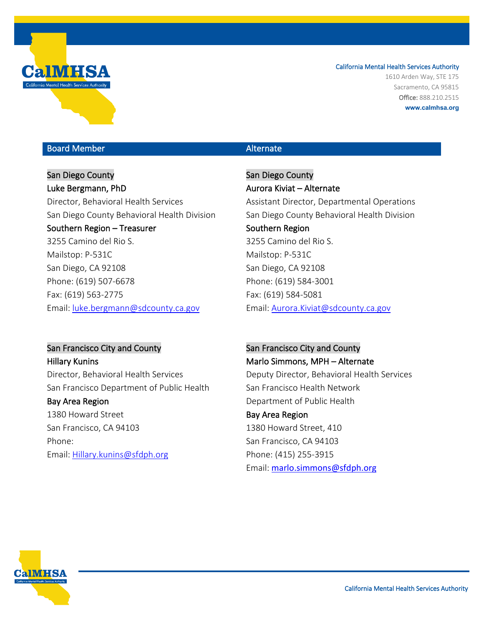

1610 Arden Way, STE 175 Sacramento, CA 95815 Office: 888.210.2515 **www.calmhsa.org**

## Board Member Alternate Communication and Alternate

San Diego County Luke Bergmann, PhD Director, Behavioral Health Services San Diego County Behavioral Health Division Southern Region – Treasurer 3255 Camino del Rio S. Mailstop: P-531C San Diego, CA 92108 Phone: (619) 507-6678 Fax: (619) 563-2775 Email: [luke.bergmann@sdcounty.ca.gov](mailto:luke.bergmann@sdcounty.ca.gov)

San Diego County Aurora Kiviat – Alternate Assistant Director, Departmental Operations San Diego County Behavioral Health Division Southern Region 3255 Camino del Rio S. Mailstop: P-531C San Diego, CA 92108 Phone: (619) 584-3001 Fax: (619) 584-5081 Email: [Aurora.Kiviat@sdcounty.ca.gov](mailto:Aurora.Kiviat@sdcounty.ca.gov)

## San Francisco City and County

Hillary Kunins Director, Behavioral Health Services San Francisco Department of Public Health Bay Area Region 1380 Howard Street San Francisco, CA 94103 Phone:

Email: [Hillary.kunins@sfdph.org](mailto:Hillary.kunins@sfdph.org) 

### San Francisco City and County

Marlo Simmons, MPH – Alternate Deputy Director, Behavioral Health Services San Francisco Health Network Department of Public Health Bay Area Region 1380 Howard Street, 410

San Francisco, CA 94103 Phone: (415) 255-3915 Email: [marlo.simmons@sfdph.org](mailto:marlo.simmons@sfdph.org)

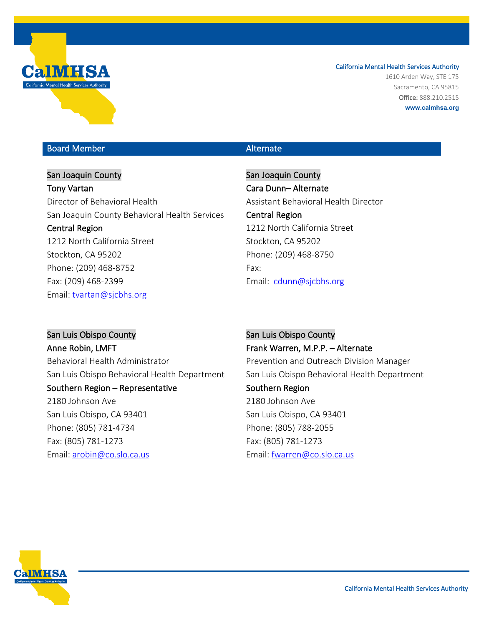

1610 Arden Way, STE 175 Sacramento, CA 95815 Office: 888.210.2515 **www.calmhsa.org**

## Board Member Alternate Communication and Alternate

San Joaquin County Tony Vartan Director of Behavioral Health San Joaquin County Behavioral Health Services Central Region 1212 North California Street Stockton, CA 95202 Phone: (209) 468-8752 Fax: (209) 468-2399 Email: [tvartan@sjcbhs.org](mailto:tvartan@sjcbhs.org)

San Joaquin County Cara Dunn– Alternate Assistant Behavioral Health Director Central Region 1212 North California Street Stockton, CA 95202 Phone: (209) 468-8750 Fax: Email: cdunn@sjcbhs.org

San Luis Obispo County Anne Robin, LMFT Behavioral Health Administrator San Luis Obispo Behavioral Health Department Southern Region – Representative 2180 Johnson Ave San Luis Obispo, CA 93401 Phone: (805) 781-4734 Fax: (805) 781-1273 Email: [arobin@co.slo.ca.us](mailto:arobin@co.slo.ca.us) 

San Luis Obispo County Frank Warren, M.P.P. – Alternate Prevention and Outreach Division Manager San Luis Obispo Behavioral Health Department Southern Region 2180 Johnson Ave San Luis Obispo, CA 93401 Phone: (805) 788-2055 Fax: (805) 781-1273 Email: [fwarren@co.slo.ca.us](mailto:fwarren@co.slo.ca.us)

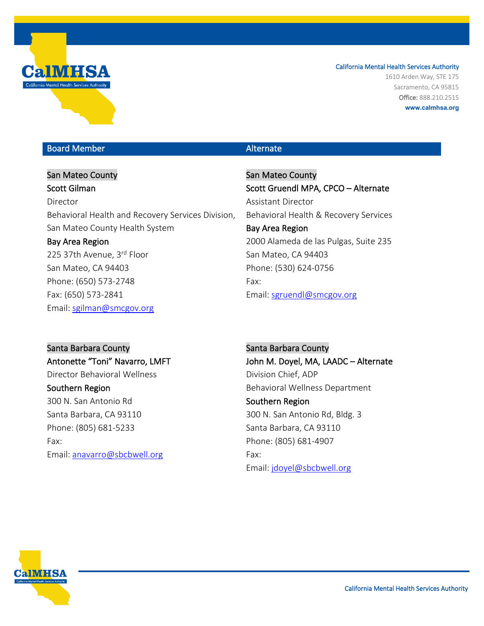

1610 Arden Way, STE 175 Sacramento, CA 95815 Office: 888.210.2515 **www.calmhsa.org**

## Board Member Alternate Communication and Alternate

San Mateo County Scott Gilman Director Behavioral Health and Recovery Services Division, San Mateo County Health System Bay Area Region 225 37th Avenue, 3rd Floor San Mateo, CA 94403 Phone: (650) 573-2748 Fax: (650) 573-2841

San Mateo County Scott Gruendl MPA, CPCO – Alternate Assistant Director Behavioral Health & Recovery Services Bay Area Region 2000 Alameda de las Pulgas, Suite 235 San Mateo, CA 94403 Phone: (530) 624-0756 Fax: Email: [sgruendl@smcgov.org](mailto:sgruendl@smcgov.org)

Santa Barbara County Antonette "Toni" Navarro, LMFT Director Behavioral Wellness Southern Region 300 N. San Antonio Rd Santa Barbara, CA 93110 Phone: (805) 681-5233 Fax: Email: [anavarro@sbcbwell.org](mailto:anavarro@sbcbwell.org)

Email: [sgilman@smcgov.org](mailto:sgilman@smcgov.org) 

Santa Barbara County John M. Doyel, MA, LAADC – Alternate Division Chief, ADP Behavioral Wellness Department Southern Region 300 N. San Antonio Rd, Bldg. 3 Santa Barbara, CA 93110 Phone: (805) 681-4907 Fax: Email: [jdoyel@sbcbwell.org](mailto:jdoyel@sbcbwell.org)

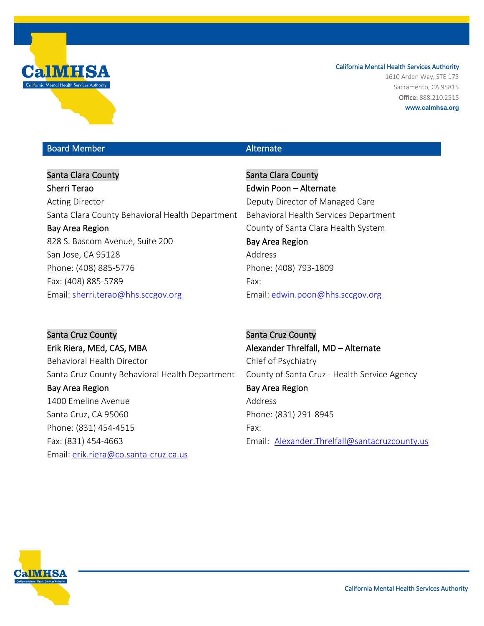

1610 Arden Way, STE 175 Sacramento, CA 95815 Office: 888.210.2515 **www.calmhsa.org**

## Board Member Alternate Communication and Alternate

Santa Clara County Sherri Terao Acting Director Santa Clara County Behavioral Health Department Bay Area Region 828 S. Bascom Avenue, Suite 200 San Jose, CA 95128 Phone: (408) 885-5776 Fax: (408) 885-5789 Email: [sherri.terao@hhs.sccgov.org](mailto:sherri.terao@hhs.sccgov.org) 

Santa Clara County Edwin Poon – Alternate Deputy Director of Managed Care Behavioral Health Services Department County of Santa Clara Health System Bay Area Region Address Phone: (408) 793-1809 Fax: Email: edwin.poon@hhs.sccgov.org

Santa Cruz County Erik Riera, MEd, CAS, MBA Behavioral Health Director Santa Cruz County Behavioral Health Department Bay Area Region 1400 Emeline Avenue Santa Cruz, CA 95060 Phone: (831) 454-4515 Fax: (831) 454-4663 Email: [erik.riera@co.santa-cruz.ca.us](mailto:erik.riera@co.santa-cruz.ca.us)

Santa Cruz County Alexander Threlfall, MD – Alternate Chief of Psychiatry County of Santa Cruz - Health Service Agency Bay Area Region Address Phone: (831) 291-8945 Fax: Email: [A](mailto:vanessa.delacruz@santacruzcounty.us)lexander.Threlfall@santacruzcounty.us

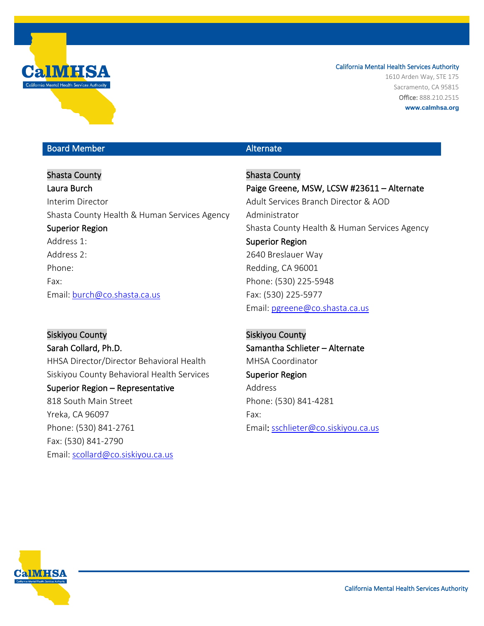

1610 Arden Way, STE 175 Sacramento, CA 95815 Office: 888.210.2515 **www.calmhsa.org**

## Board Member Alternate Communication and Alternate

Shasta County Laura Burch Interim Director Shasta County Health & Human Services Agency Superior Region Address 1: Address 2: Phone: Fax: Email: [burch@co.shasta.ca.us](mailto:burch@co.shasta.ca.us)

Siskiyou County Sarah Collard, Ph.D. HHSA Director/Director Behavioral Health Siskiyou County Behavioral Health Services Superior Region – Representative 818 South Main Street Yreka, CA 96097 Phone: (530) 841-2761 Fax: (530) 841-2790 Email: [scollard@co.siskiyou.ca.us](mailto:scollard@co.siskiyou.ca.us)

Shasta County Paige Greene, MSW, LCSW #23611 – Alternate Adult Services Branch Director & AOD Administrator Shasta County Health & Human Services Agency Superior Region 2640 Breslauer Way Redding, CA 96001 Phone: (530) 225-5948 Fax: (530) 225-5977 Email: [pgreene@co.shasta.ca.us](mailto:pgreene@co.shasta.ca.us) 

Siskiyou County Samantha Schlieter – Alternate MHSA Coordinator Superior Region Address Phone: (530) 841-4281 Fax: Email: sschlieter@co.siskiyou.ca.us

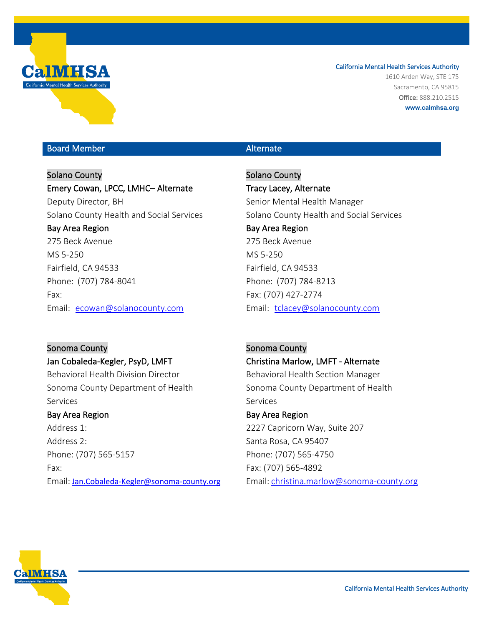

1610 Arden Way, STE 175 Sacramento, CA 95815 Office: 888.210.2515 **www.calmhsa.org**

## Board Member Alternate Communication and Alternate

Solano County Emery Cowan, LPCC, LMHC– Alternate Deputy Director, BH Solano County Health and Social Services Bay Area Region 275 Beck Avenue MS 5-250 Fairfield, CA 94533 Phone: (707) 784-8041 Fax: Email: ecowan@solanocounty.com

Solano County Tracy Lacey, Alternate Senior Mental Health Manager Solano County Health and Social Services Bay Area Region 275 Beck Avenue MS 5-250 Fairfield, CA 94533 Phone: (707) 784-8213 Fax: (707) 427-2774 Email: tclacey@solanocounty.com

Sonoma County Jan Cobaleda-Kegler, PsyD, LMFT Behavioral Health Division Director Sonoma County Department of Health Services Bay Area Region Address 1: Address 2:

Phone: (707) 565-5157 Fax: Email: [Jan.Cobaleda-Kegler@sonoma-county.org](mailto:Jan.Cobaleda-Kegler@sonoma-county.org)

Sonoma County Christina Marlow, LMFT - Alternate Behavioral Health Section Manager Sonoma County Department of Health Services Bay Area Region

2227 Capricorn Way, Suite 207 Santa Rosa, CA 95407 Phone: (707) 565-4750 Fax: (707) 565-4892 Email: [christina.marlow@sonoma-county.org](mailto:christina.marlow@sonoma-county.org)

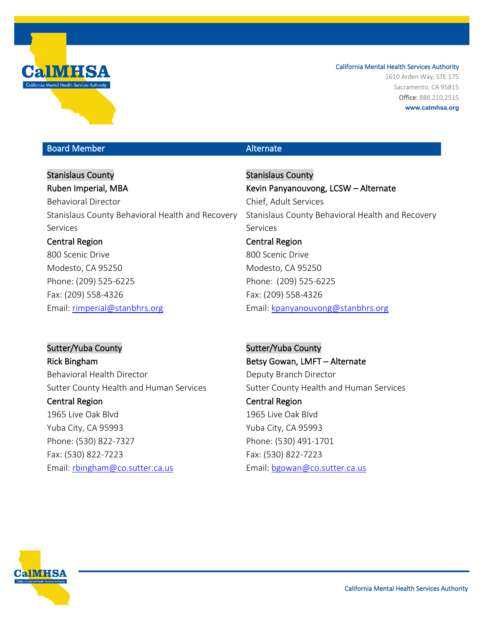

1610 Arden Way, STE 175 Sacramento, CA 95815 Office: 888.210.2515 **www.calmhsa.org**

## Board Member Alternate Communication and Alternate

Stanislaus County Ruben Imperial, MBA Behavioral Director Stanislaus County Behavioral Health and Recovery Services Central Region 800 Scenic Drive Modesto, CA 95250 Phone: (209) 525-6225 Fax: (209) 558-4326

Email: [rimperial@stanbhrs.org](mailto:rimperial@stanbhrs.org)

Stanislaus County Kevin Panyanouvong, LCSW – Alternate Chief, Adult Services Stanislaus County Behavioral Health and Recovery Services Central Region 800 Scenic Drive Modesto, CA 95250 Phone: (209) 525-6225 Fax: (209) 558-4326 Email: [kpanyanouvong@stanbhrs.org](mailto:kpanyanouvong@stanbhrs.org)

Sutter/Yuba County Rick Bingham Behavioral Health Director Sutter County Health and Human Services Central Region 1965 Live Oak Blvd Yuba City, CA 95993 Phone: (530) 822-7327 Fax: (530) 822-7223 Email: [rbingham@co.sutter.ca.us](mailto:rbingham@co.sutter.ca.us)

Sutter/Yuba County Betsy Gowan, LMFT – Alternate Deputy Branch Director Sutter County Health and Human Services Central Region 1965 Live Oak Blvd Yuba City, CA 95993 Phone: (530) 491-1701 Fax: (530) 822-7223 Email: [bgowan@co.sutter.ca.us](mailto:bgowan@co.sutter.ca.us)

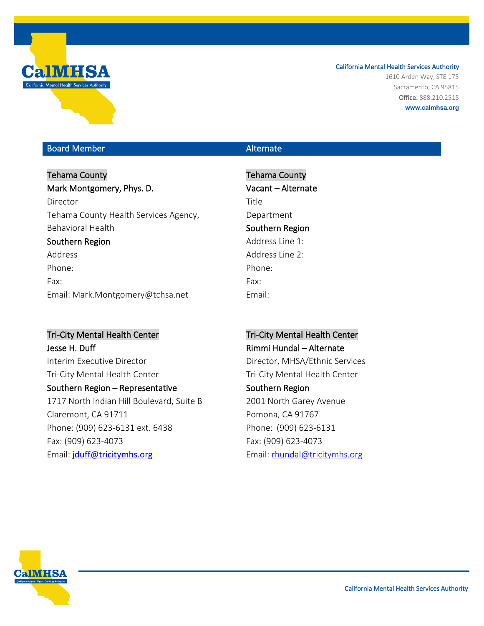

1610 Arden Way, STE 175 Sacramento, CA 95815 Office: 888.210.2515 **www.calmhsa.org**

## Board Member Alternate Communication and Alternate

# Tehama County Mark Montgomery, Phys. D. Director Tehama County Health Services Agency, Behavioral Health Southern Region Address Phone:

Fax: Email: Mark.Montgomery@tchsa.net

## Tri-City Mental Health Center

Jesse H. Duff Interim Executive Director Tri-City Mental Health Center Southern Region – Representative 1717 North Indian Hill Boulevard, Suite B Claremont, CA 91711 Phone: (909) 623-6131 ext. 6438 Fax: (909) 623-4073 Email: [jduff@tricitymhs.org](mailto:jduff@tricitymhs.org)

Tehama County Vacant – Alternate Title Department Southern Region Address Line 1: Address Line 2: Phone: Fax: Email:

# Tri-City Mental Health Center Rimmi Hundal – Alternate Director, MHSA/Ethnic Services Tri-City Mental Health Center Southern Region 2001 North Garey Avenue Pomona, CA 91767 Phone: (909) 623-6131 Fax: (909) 623-4073 Email: [rhundal@tricitymhs.org](mailto:rhundal@tricitymhs.org)

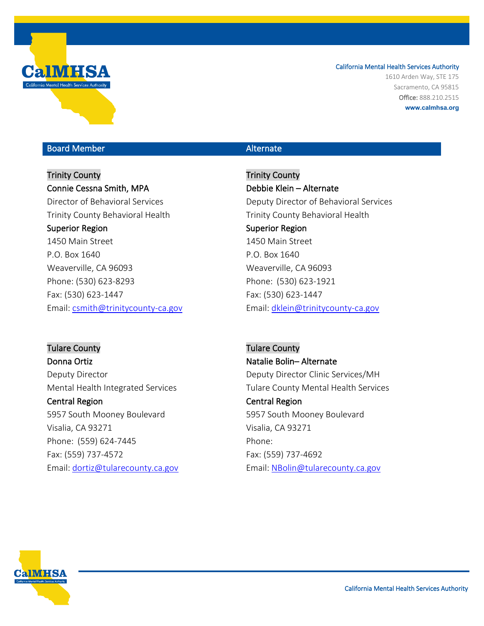

1610 Arden Way, STE 175 Sacramento, CA 95815 Office: 888.210.2515 **www.calmhsa.org**

## Board Member Alternate Communication and Alternate

## Trinity County Connie Cessna Smith, MPA

Director of Behavioral Services Trinity County Behavioral Health Superior Region 1450 Main Street P.O. Box 1640 Weaverville, CA 96093 Phone: (530) 623-8293 Fax: (530) 623-1447 Email: [csmith@trinitycounty-ca.gov](mailto:csmith@trinitycounty-ca.gov)

Trinity County Debbie Klein – Alternate Deputy Director of Behavioral Services Trinity County Behavioral Health Superior Region 1450 Main Street P.O. Box 1640 Weaverville, CA 96093 Phone: (530) 623-1921 Fax: (530) 623-1447 Email: [dklein@trinitycounty-ca.gov](mailto:dklein@trinitycounty-ca.gov) 

Tulare County Donna Ortiz Deputy Director Mental Health Integrated Services Central Region 5957 South Mooney Boulevard Visalia, CA 93271 Phone: (559) 624-7445 Fax: (559) 737-4572 Email: [dortiz@tularecounty.ca.gov](mailto:dortiz@tularecounty.ca.gov) 

Tulare County Natalie Bolin– Alternate Deputy Director Clinic Services/MH Tulare County Mental Health Services Central Region 5957 South Mooney Boulevard Visalia, CA 93271 Phone: Fax: (559) 737-4692 Email: [NBolin@tularecounty.ca.gov](mailto:NBolin@tularecounty.ca.gov)

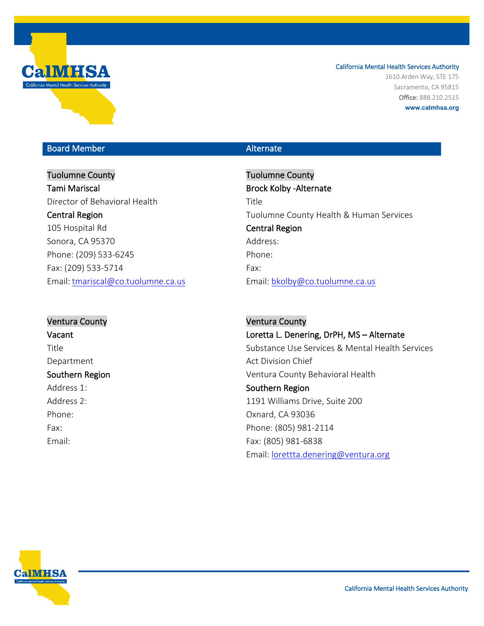

1610 Arden Way, STE 175 Sacramento, CA 95815 Office: 888.210.2515 **www.calmhsa.org**

## Board Member Alternate

# Tuolumne County Tami Mariscal Director of Behavioral Health Central Region 105 Hospital Rd Sonora, CA 95370 Phone: (209) 533-6245 Fax: (209) 533-5714 Email: [tmariscal@co.tuolumne.ca.us](mailto:tmariscal@co.tuolumne.ca.us)

Tuolumne County Brock Kolby -Alternate Title Tuolumne County Health & Human Services Central Region Address: Phone: Fax: Email: [bkolby@co.tuolumne.ca.us](mailto:bkolby@co.tuolumne.ca.us)

## Ventura County Vacant

Title Department Southern Region Address 1: Address 2: Phone: Fax: Email:

Ventura County Loretta L. Denering, DrPH, MS – Alternate Substance Use Services & Mental Health Services Act Division Chief Ventura County Behavioral Health Southern Region 1191 Williams Drive, Suite 200 Oxnard, CA 93036 Phone: (805) 981-2114 Fax: (805) 981-6838 Email: [lorettta.denering@ventura.org](mailto:lorettta.denering@ventura.org)